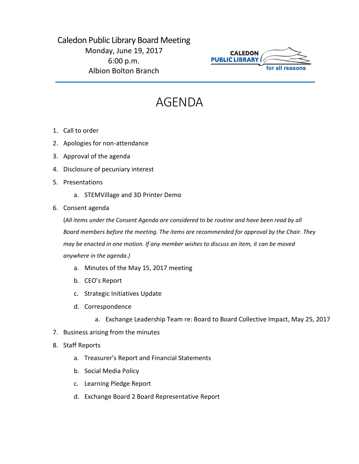## Caledon Public Library Board Meeting Monday, June 19, 2017 6:00 p.m. Albion Bolton Branch



## AGENDA

- 1. Call to order
- 2. Apologies for non-attendance
- 3. Approval of the agenda
- 4. Disclosure of pecuniary interest
- 5. Presentations
	- a. STEMVillage and 3D Printer Demo
- 6. Consent agenda

(*All items under the Consent Agenda are considered to be routine and have been read by all Board members before the meeting. The items are recommended for approval by the Chair. They may be enacted in one motion. If any member wishes to discuss an item, it can be moved anywhere in the agenda.)*

- a. Minutes of the May 15, 2017 meeting
- b. CEO's Report
- c. Strategic Initiatives Update
- d. Correspondence
	- a. Exchange Leadership Team re: Board to Board Collective Impact, May 25, 2017
- 7. Business arising from the minutes
- 8. Staff Reports
	- a. Treasurer's Report and Financial Statements
	- b. Social Media Policy
	- c. Learning Pledge Report
	- d. Exchange Board 2 Board Representative Report